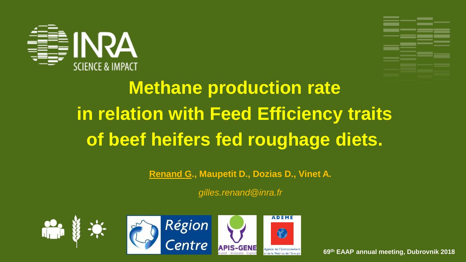



# **Methane production rate in relation with Feed Efficiency traits of beef heifers fed roughage diets.**

**Renand G., Maupetit D., Dozias D., Vinet A.**

*gilles.renand@inra.fr*









**69th EAAP annual meeting, Dubrovnik 2018**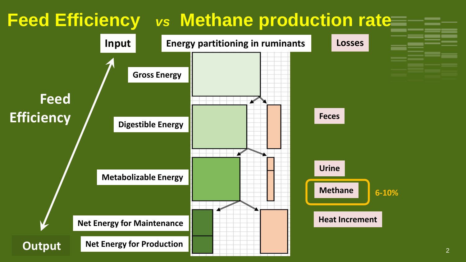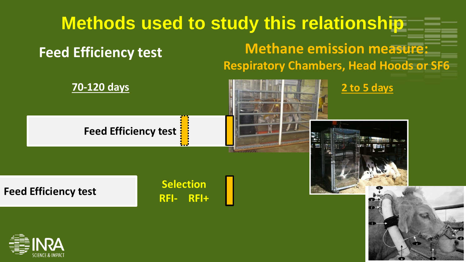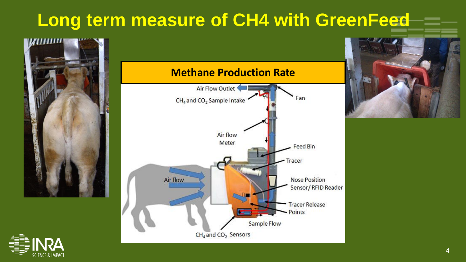## **Long term measure of CH4 with GreenFeed**



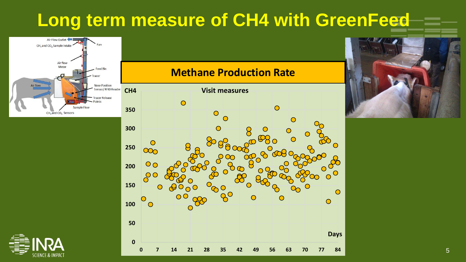### **Long term measure of CH4 with GreenFeed**



#### **Methane Production Rate**





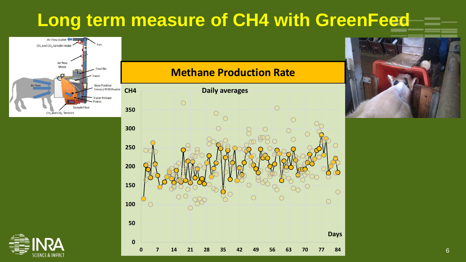## **Long term measure of CH4 with GreenFeed**



#### **Methane Production Rate**





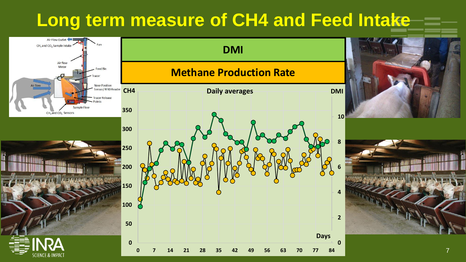#### **Long term measure of CH4 and Feed Intake**

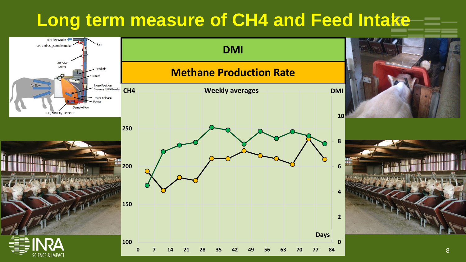#### **Long term measure of CH4 and Feed Intake**

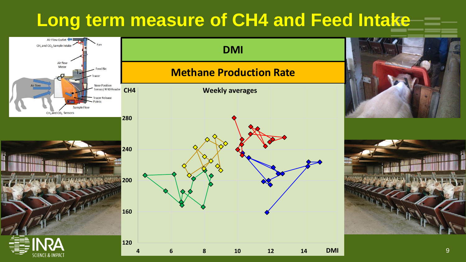#### **Long term measure of CH4 and Feed Intake**

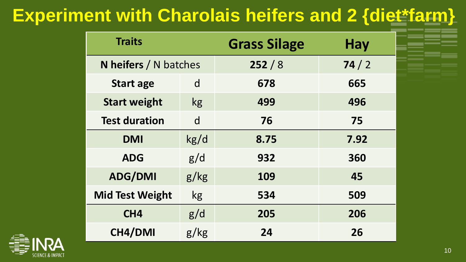## **Experiment with Charolais heifers and 2 {diet\*farm}**

| <b>Traits</b>                |           | <b>Grass Silage</b> | <b>Hay</b> |
|------------------------------|-----------|---------------------|------------|
| <b>N</b> heifers / N batches |           | 252/8               | 74/2       |
| <b>Start age</b>             | d         | 678                 | 665        |
| <b>Start weight</b>          | kg        | 499                 | 496        |
| <b>Test duration</b>         | d         | 76                  | 75         |
| <b>DMI</b>                   | kg/d      | 8.75                | 7.92       |
| <b>ADG</b>                   | g/d       | 932                 | 360        |
| <b>ADG/DMI</b>               | g/kg      | 109                 | 45         |
| <b>Mid Test Weight</b>       | <b>kg</b> | 534                 | 509        |
| CH <sub>4</sub>              | g/d       | 205                 | 206        |
| CH4/DMI                      | g/kg      | 24                  | 26         |

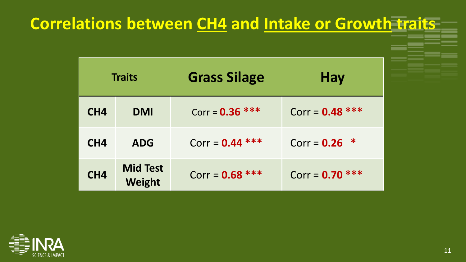#### **Correlations between CH4 and Intake or Growth traits**

|                 | <b>Traits</b>                    | <b>Grass Silage</b> | Hay               |
|-----------------|----------------------------------|---------------------|-------------------|
| CH4             | <b>DMI</b>                       | Corr = $0.36$ ***   | Corr = $0.48$ *** |
| CH <sub>4</sub> | <b>ADG</b>                       | Corr = $0.44$ ***   | Corr = $0.26$ *   |
| CH <sub>4</sub> | <b>Mid Test</b><br><b>Weight</b> | Corr = $0.68$ ***   | Corr = $0.70$ *** |

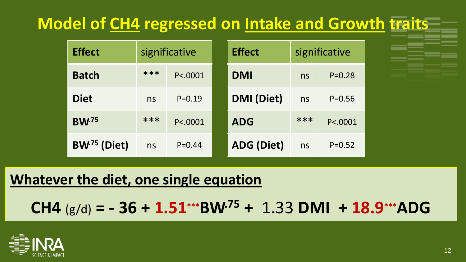#### **Model of CH4 regressed on Intake and Growth traits**

| <b>Effect</b>           | significative |            | <b>Effect</b>     | significative |            |
|-------------------------|---------------|------------|-------------------|---------------|------------|
| <b>Batch</b>            | ***           | P < .0001  | <b>DMI</b>        | ns            | $P = 0.28$ |
| <b>Diet</b>             | ns            | $P = 0.19$ | <b>DMI</b> (Diet) | ns            | $P = 0.56$ |
| <b>BW</b> <sup>75</sup> | ***           | P < 0001   | <b>ADG</b>        | ***           | P<.0001    |
| BW <sup>75</sup> (Diet) | ns            | $P = 0.44$ | <b>ADG (Diet)</b> | ns            | $P = 0.52$ |

#### **Whatever the diet, one single equation**

**CH4** (g/d) **= - 36 + 1.51\*\*\*BW.75 +** 1.33 **DMI + 18.9\*\*\*ADG**

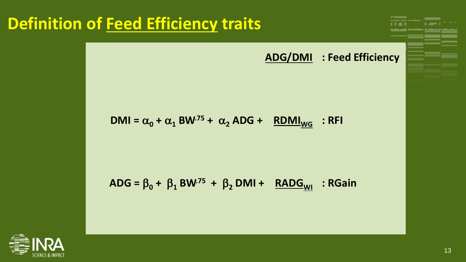#### **Definition of Feed Efficiency traits** and CH4 **Production**



$$
DMI = \alpha_0 + \alpha_1 BW^{75} + \alpha_2 ADG + \underline{RDMI}_{WG} : RFI
$$

$$
ADG = \beta_0 + \beta_1 BW^{.75} + \beta_2 DMI + \underline{RADG_{WI}} : RGain
$$

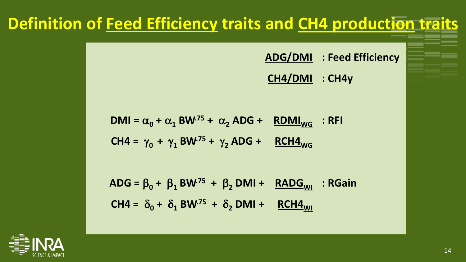#### **Definition of Feed Efficiency traits and CH4 production traits**

**ADG/DMI : Feed Efficiency**

**CH4/DMI : CH4y**

$$
DMI = \alpha_0 + \alpha_1 BW^{75} + \alpha_2 ADG + \frac{RDMI_{WG}}{NGG} : RFI
$$
  
CH4 =  $\gamma_0 + \gamma_1 BW^{75} + \gamma_2 ADG + \frac{RCH4_{WG}}{NGG}$ 

 $\beta_0 + \beta_1$  **BW**<sup>75</sup> +  $\beta_2$  **DMI** + **RADG**<sub>WI</sub>  $CH4 = \delta_0 + \delta_1 B W^{75} + \delta_2 D M1 + RCH4_{W1}$ **: RGain**

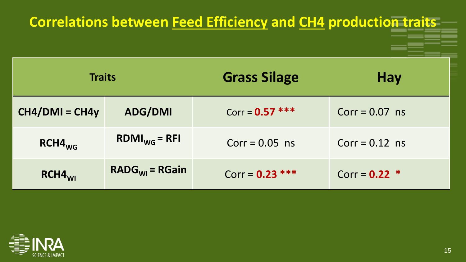| <b>Correlations between Feed Efficiency and CH4 production traits</b> |                   |                     |                  |  |
|-----------------------------------------------------------------------|-------------------|---------------------|------------------|--|
| <b>Traits</b>                                                         |                   | <b>Grass Silage</b> | <b>Hay</b>       |  |
| $CH4/DMI = CH4y$                                                      | <b>ADG/DMI</b>    | Corr = $0.57$ ***   | $Corr = 0.07$ ns |  |
| $RCH4_{WG}$                                                           | $RDMI_{WG} = RFI$ | $Corr = 0.05$ ns    | $Corr = 0.12$ ns |  |
| $RCH4$ <sub>MI</sub>                                                  | $RADGWI = RGain$  | Corr = $0.23$ ***   | Corr = $0.22$ *  |  |

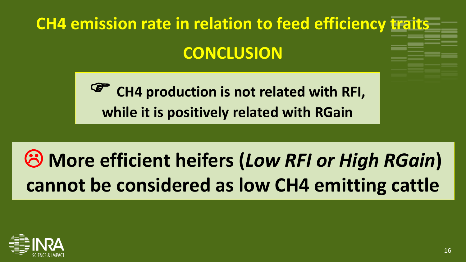# **CH4 emission rate in relation to feed efficiency traits CONCLUSION**

 **CH4 production is not related with RFI, while it is positively related with RGain**

# **More efficient heifers (***Low RFI or High RGain***) cannot be considered as low CH4 emitting cattle**